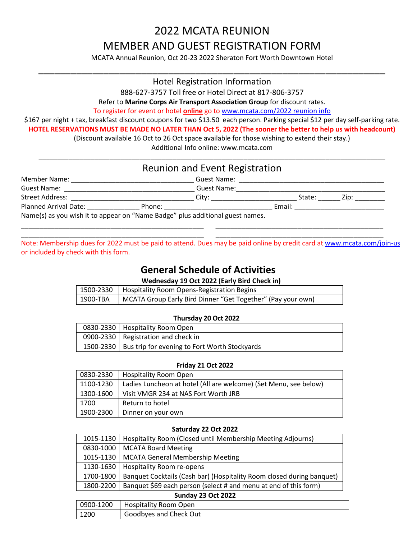# 2022 MCATA REUNION MEMBER AND GUEST REGISTRATION FORM

MCATA Annual Reunion, Oct 20-23 2022 Sheraton Fort Worth Downtown Hotel \_\_\_\_\_\_\_\_\_\_\_\_\_\_\_\_\_\_\_\_\_\_\_\_\_\_\_\_\_\_\_\_\_\_\_\_\_\_\_\_\_\_\_\_\_\_\_\_\_\_\_\_\_\_\_\_\_\_\_\_\_\_\_\_

### Hotel Registration Information

888-627-3757 Toll free or Hotel Direct at 817-806-3757

Refer to **Marine Corps Air Transport Association Group** for discount rates.

To register for event or hotel **online** go to [www.mcata.com/2022](http://www.mcata.com/2022%20reunion%20info) reunion info

\$167 per night + tax, breakfast discount coupons for two \$13.50 each person. Parking special \$12 per day self-parking rate.

**HOTEL RESERVATIONS MUST BE MADE NO LATER THAN Oct 5, 2022 (The sooner the better to help us with headcount)**

(Discount available 16 Oct to 26 Oct space available for those wishing to extend their stay.)

Additional Info online: www.mcata.com

|                                                                                                                                                                                                                                | Reunion and Event Registration        |                                                                                                                 |             |
|--------------------------------------------------------------------------------------------------------------------------------------------------------------------------------------------------------------------------------|---------------------------------------|-----------------------------------------------------------------------------------------------------------------|-------------|
| Member Name:                                                                                                                                                                                                                   | <b>Guest Name:</b>                    |                                                                                                                 |             |
| Guest Name: The Contract of the Contract of the Contract of the Contract of the Contract of the Contract of the Contract of the Contract of the Contract of the Contract of the Contract of the Contract of the Contract of th | Guest Name:                           |                                                                                                                 |             |
| Street Address: National Property of the Contract of the Contract of the Contract of the Contract of the Contract of the Contract of the Contract of the Contract of the Contract of the Contract of the Contract of the Contr | __ City: ________________________     |                                                                                                                 | State: Zip: |
| Planned Arrival Date:                                                                                                                                                                                                          | Phone: <u>_______________________</u> | Email: Email: All and the state of the state of the state of the state of the state of the state of the state o |             |

Note: Membership dues for 2022 must be paid to attend. Dues may be paid online by credit card at<www.mcata.com/join-us> or included by check with this form.

\_\_\_\_\_\_\_\_\_\_\_\_\_\_\_\_\_\_\_\_\_\_\_\_\_\_\_\_\_\_\_\_\_\_\_\_\_\_\_\_\_\_\_\_\_\_\_\_\_ \_\_\_\_\_\_\_\_\_\_\_\_\_\_\_\_\_\_\_\_\_\_\_\_\_\_\_\_\_\_\_\_\_\_\_\_\_\_\_\_\_\_\_\_\_

### **General Schedule of Activities**

**Wednesday 19 Oct 2022 (Early Bird Check in)** 

|            | 1500-2330   Hospitality Room Opens-Registration Begins      |
|------------|-------------------------------------------------------------|
| ' 1900-TBA | MCATA Group Early Bird Dinner "Get Together" (Pay your own) |

#### **Thursday 20 Oct 2022**

| 0830-2330   Hospitality Room Open                         |
|-----------------------------------------------------------|
| 0900-2330   Registration and check in                     |
| 1500-2330   Bus trip for evening to Fort Worth Stockyards |

#### **Friday 21 Oct 2022**

| 0830-2330 | <b>Hospitality Room Open</b>                                     |
|-----------|------------------------------------------------------------------|
| 1100-1230 | Ladies Luncheon at hotel (All are welcome) (Set Menu, see below) |
| 1300-1600 | Visit VMGR 234 at NAS Fort Worth JRB                             |
| 1700      | Return to hotel                                                  |
| 1900-2300 | Dinner on your own                                               |

#### **Saturday 22 Oct 2022**

|           | 1015-1130   Hospitality Room (Closed until Membership Meeting Adjourns) |
|-----------|-------------------------------------------------------------------------|
|           | 0830-1000   MCATA Board Meeting                                         |
|           | 1015-1130   MCATA General Membership Meeting                            |
|           | 1130-1630   Hospitality Room re-opens                                   |
| 1700-1800 | Banquet Cocktails (Cash bar) (Hospitality Room closed during banquet)   |
| 1800-2200 | Banquet \$69 each person (select # and menu at end of this form)        |

#### **Sunday 23 Oct 2022**

|      | 0900-1200   Hospitality Room Open |
|------|-----------------------------------|
| 1200 | Goodbyes and Check Out            |